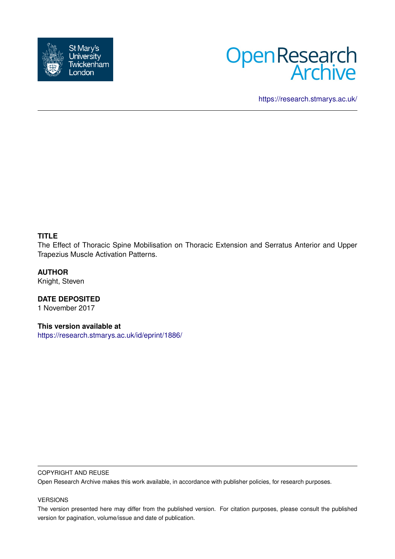



<https://research.stmarys.ac.uk/>

## **TITLE**

The Effect of Thoracic Spine Mobilisation on Thoracic Extension and Serratus Anterior and Upper Trapezius Muscle Activation Patterns.

## **AUTHOR**

Knight, Steven

**DATE DEPOSITED** 1 November 2017

**This version available at**

<https://research.stmarys.ac.uk/id/eprint/1886/>

#### COPYRIGHT AND REUSE

Open Research Archive makes this work available, in accordance with publisher policies, for research purposes.

### VERSIONS

The version presented here may differ from the published version. For citation purposes, please consult the published version for pagination, volume/issue and date of publication.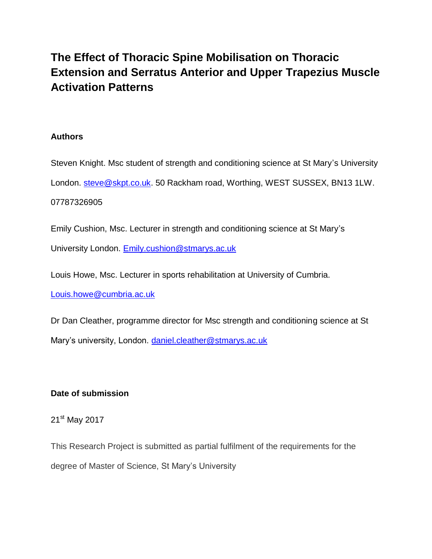# **The Effect of Thoracic Spine Mobilisation on Thoracic Extension and Serratus Anterior and Upper Trapezius Muscle Activation Patterns**

# **Authors**

Steven Knight. Msc student of strength and conditioning science at St Mary's University London. [steve@skpt.co.uk.](mailto:steve@skpt.co.uk) 50 Rackham road, Worthing, WEST SUSSEX, BN13 1LW.

# 07787326905

Emily Cushion, Msc. Lecturer in strength and conditioning science at St Mary's

University London. [Emily.cushion@stmarys.ac.uk](mailto:Emily.cushion@stmarys.ac.uk)

Louis Howe, Msc. Lecturer in sports rehabilitation at University of Cumbria.

[Louis.howe@cumbria.ac.uk](mailto:Louis.howe@cumbria.ac.uk)

Dr Dan Cleather, programme director for Msc strength and conditioning science at St Mary's university, London. [daniel.cleather@stmarys.ac.uk](mailto:daniel.cleather@stmarys.ac.uk)

# **Date of submission**

21<sup>st</sup> May 2017

This Research Project is submitted as partial fulfilment of the requirements for the degree of Master of Science, St Mary's University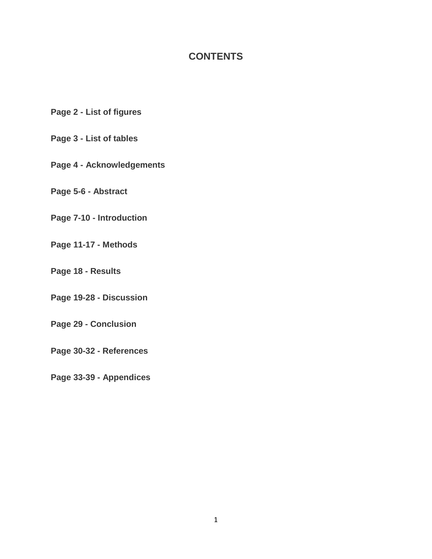# **CONTENTS**

**Page 2 - List of figures**

# **Page 3 - List of tables**

**Page 4 - Acknowledgements**

**Page 5-6 - Abstract**

**Page 7-10 - Introduction**

**Page 11-17 - Methods**

**Page 18 - Results**

**Page 19-28 - Discussion**

**Page 29 - Conclusion**

**Page 30-32 - References**

**Page 33-39 - Appendices**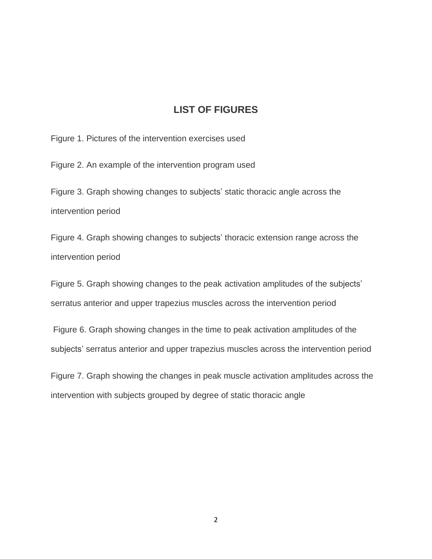# **LIST OF FIGURES**

Figure 1. Pictures of the intervention exercises used

Figure 2. An example of the intervention program used

Figure 3. Graph showing changes to subjects' static thoracic angle across the intervention period

Figure 4. Graph showing changes to subjects' thoracic extension range across the intervention period

Figure 5. Graph showing changes to the peak activation amplitudes of the subjects' serratus anterior and upper trapezius muscles across the intervention period

Figure 6. Graph showing changes in the time to peak activation amplitudes of the subjects' serratus anterior and upper trapezius muscles across the intervention period

Figure 7. Graph showing the changes in peak muscle activation amplitudes across the intervention with subjects grouped by degree of static thoracic angle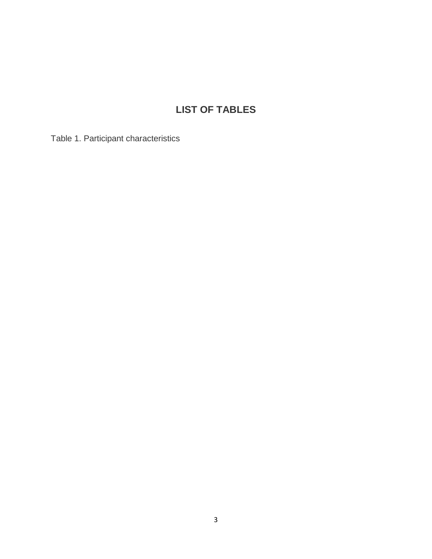# **LIST OF TABLES**

Table 1. Participant characteristics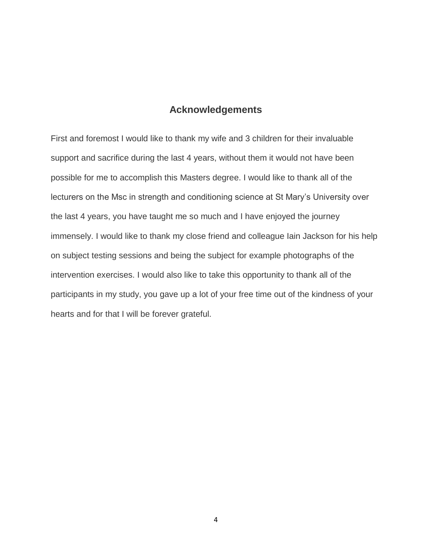# **Acknowledgements**

First and foremost I would like to thank my wife and 3 children for their invaluable support and sacrifice during the last 4 years, without them it would not have been possible for me to accomplish this Masters degree. I would like to thank all of the lecturers on the Msc in strength and conditioning science at St Mary's University over the last 4 years, you have taught me so much and I have enjoyed the journey immensely. I would like to thank my close friend and colleague Iain Jackson for his help on subject testing sessions and being the subject for example photographs of the intervention exercises. I would also like to take this opportunity to thank all of the participants in my study, you gave up a lot of your free time out of the kindness of your hearts and for that I will be forever grateful.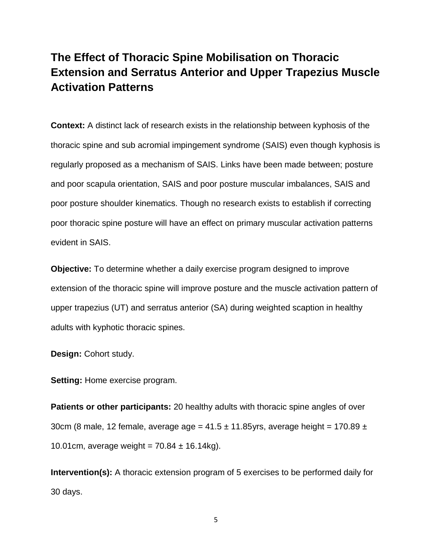# **The Effect of Thoracic Spine Mobilisation on Thoracic Extension and Serratus Anterior and Upper Trapezius Muscle Activation Patterns**

**Context:** A distinct lack of research exists in the relationship between kyphosis of the thoracic spine and sub acromial impingement syndrome (SAIS) even though kyphosis is regularly proposed as a mechanism of SAIS. Links have been made between; posture and poor scapula orientation, SAIS and poor posture muscular imbalances, SAIS and poor posture shoulder kinematics. Though no research exists to establish if correcting poor thoracic spine posture will have an effect on primary muscular activation patterns evident in SAIS.

**Objective:** To determine whether a daily exercise program designed to improve extension of the thoracic spine will improve posture and the muscle activation pattern of upper trapezius (UT) and serratus anterior (SA) during weighted scaption in healthy adults with kyphotic thoracic spines.

**Design:** Cohort study.

**Setting:** Home exercise program.

**Patients or other participants:** 20 healthy adults with thoracic spine angles of over 30cm (8 male, 12 female, average age =  $41.5 \pm 11.85$ yrs, average height = 170.89  $\pm$ 10.01cm, average weight =  $70.84 \pm 16.14$ kg).

**Intervention(s):** A thoracic extension program of 5 exercises to be performed daily for 30 days.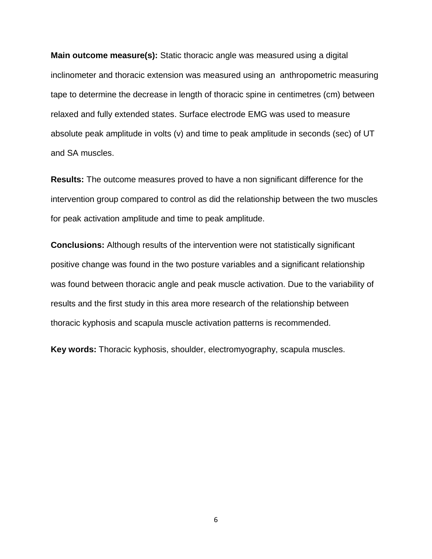**Main outcome measure(s):** Static thoracic angle was measured using a digital inclinometer and thoracic extension was measured using an anthropometric measuring tape to determine the decrease in length of thoracic spine in centimetres (cm) between relaxed and fully extended states. Surface electrode EMG was used to measure absolute peak amplitude in volts (v) and time to peak amplitude in seconds (sec) of UT and SA muscles.

**Results:** The outcome measures proved to have a non significant difference for the intervention group compared to control as did the relationship between the two muscles for peak activation amplitude and time to peak amplitude.

**Conclusions:** Although results of the intervention were not statistically significant positive change was found in the two posture variables and a significant relationship was found between thoracic angle and peak muscle activation. Due to the variability of results and the first study in this area more research of the relationship between thoracic kyphosis and scapula muscle activation patterns is recommended.

**Key words:** Thoracic kyphosis, shoulder, electromyography, scapula muscles.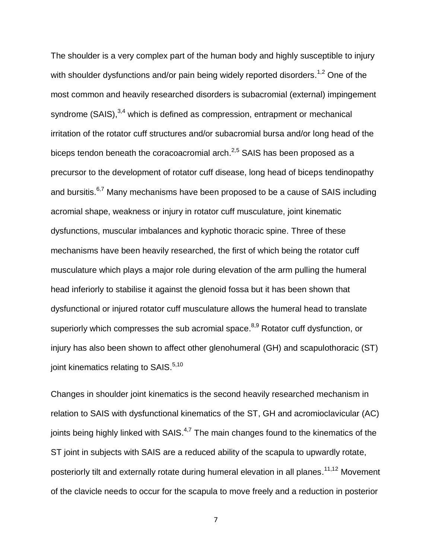The shoulder is a very complex part of the human body and highly susceptible to injury with shoulder dysfunctions and/or pain being widely reported disorders.<sup>1,2</sup> One of the most common and heavily researched disorders is subacromial (external) impingement syndrome (SAIS),<sup>3,4</sup> which is defined as compression, entrapment or mechanical irritation of the rotator cuff structures and/or subacromial bursa and/or long head of the biceps tendon beneath the coracoacromial arch.<sup>2,5</sup> SAIS has been proposed as a precursor to the development of rotator cuff disease, long head of biceps tendinopathy and bursitis.<sup>6,7</sup> Many mechanisms have been proposed to be a cause of SAIS including acromial shape, weakness or injury in rotator cuff musculature, joint kinematic dysfunctions, muscular imbalances and kyphotic thoracic spine. Three of these mechanisms have been heavily researched, the first of which being the rotator cuff musculature which plays a major role during elevation of the arm pulling the humeral head inferiorly to stabilise it against the glenoid fossa but it has been shown that dysfunctional or injured rotator cuff musculature allows the humeral head to translate superiorly which compresses the sub acromial space.<sup>8,9</sup> Rotator cuff dysfunction, or injury has also been shown to affect other glenohumeral (GH) and scapulothoracic (ST) joint kinematics relating to SAIS.<sup>5,10</sup>

Changes in shoulder joint kinematics is the second heavily researched mechanism in relation to SAIS with dysfunctional kinematics of the ST, GH and acromioclavicular (AC) joints being highly linked with SAIS.<sup>4,7</sup> The main changes found to the kinematics of the ST joint in subjects with SAIS are a reduced ability of the scapula to upwardly rotate, posteriorly tilt and externally rotate during humeral elevation in all planes.<sup>11,12</sup> Movement of the clavicle needs to occur for the scapula to move freely and a reduction in posterior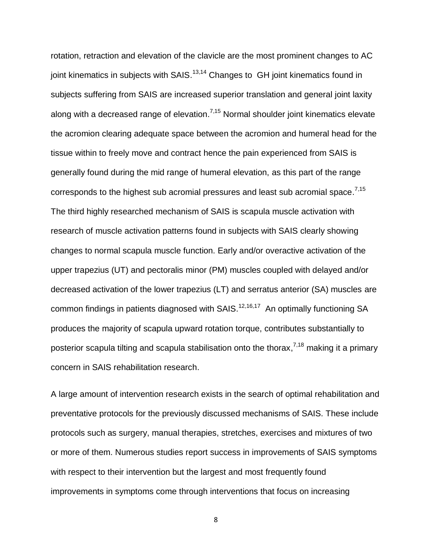rotation, retraction and elevation of the clavicle are the most prominent changes to AC joint kinematics in subjects with SAIS.<sup>13,14</sup> Changes to GH joint kinematics found in subjects suffering from SAIS are increased superior translation and general joint laxity along with a decreased range of elevation.<sup>7,15</sup> Normal shoulder joint kinematics elevate the acromion clearing adequate space between the acromion and humeral head for the tissue within to freely move and contract hence the pain experienced from SAIS is generally found during the mid range of humeral elevation, as this part of the range corresponds to the highest sub acromial pressures and least sub acromial space.<sup>7,15</sup> The third highly researched mechanism of SAIS is scapula muscle activation with research of muscle activation patterns found in subjects with SAIS clearly showing changes to normal scapula muscle function. Early and/or overactive activation of the upper trapezius (UT) and pectoralis minor (PM) muscles coupled with delayed and/or decreased activation of the lower trapezius (LT) and serratus anterior (SA) muscles are common findings in patients diagnosed with SAIS.<sup>12,16,17</sup> An optimally functioning SA produces the majority of scapula upward rotation torque, contributes substantially to posterior scapula tilting and scapula stabilisation onto the thorax,<sup>7,18</sup> making it a primary concern in SAIS rehabilitation research.

A large amount of intervention research exists in the search of optimal rehabilitation and preventative protocols for the previously discussed mechanisms of SAIS. These include protocols such as surgery, manual therapies, stretches, exercises and mixtures of two or more of them. Numerous studies report success in improvements of SAIS symptoms with respect to their intervention but the largest and most frequently found improvements in symptoms come through interventions that focus on increasing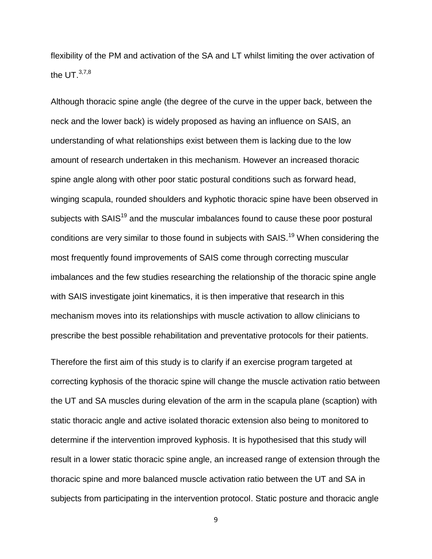flexibility of the PM and activation of the SA and LT whilst limiting the over activation of the UT. $^{3,7,8}$ 

Although thoracic spine angle (the degree of the curve in the upper back, between the neck and the lower back) is widely proposed as having an influence on SAIS, an understanding of what relationships exist between them is lacking due to the low amount of research undertaken in this mechanism. However an increased thoracic spine angle along with other poor static postural conditions such as forward head, winging scapula, rounded shoulders and kyphotic thoracic spine have been observed in subjects with SAIS<sup>19</sup> and the muscular imbalances found to cause these poor postural conditions are very similar to those found in subjects with SAIS.<sup>19</sup> When considering the most frequently found improvements of SAIS come through correcting muscular imbalances and the few studies researching the relationship of the thoracic spine angle with SAIS investigate joint kinematics, it is then imperative that research in this mechanism moves into its relationships with muscle activation to allow clinicians to prescribe the best possible rehabilitation and preventative protocols for their patients.

Therefore the first aim of this study is to clarify if an exercise program targeted at correcting kyphosis of the thoracic spine will change the muscle activation ratio between the UT and SA muscles during elevation of the arm in the scapula plane (scaption) with static thoracic angle and active isolated thoracic extension also being to monitored to determine if the intervention improved kyphosis. It is hypothesised that this study will result in a lower static thoracic spine angle, an increased range of extension through the thoracic spine and more balanced muscle activation ratio between the UT and SA in subjects from participating in the intervention protocol. Static posture and thoracic angle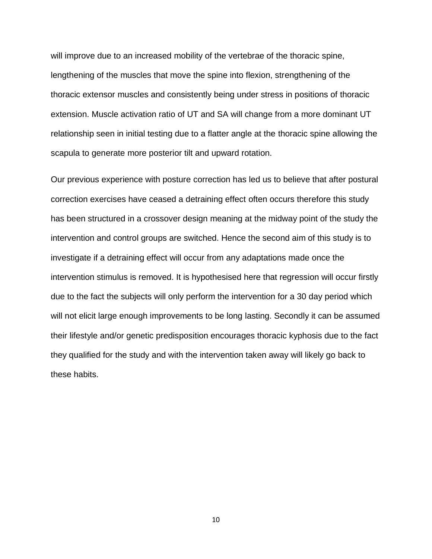will improve due to an increased mobility of the vertebrae of the thoracic spine, lengthening of the muscles that move the spine into flexion, strengthening of the thoracic extensor muscles and consistently being under stress in positions of thoracic extension. Muscle activation ratio of UT and SA will change from a more dominant UT relationship seen in initial testing due to a flatter angle at the thoracic spine allowing the scapula to generate more posterior tilt and upward rotation.

Our previous experience with posture correction has led us to believe that after postural correction exercises have ceased a detraining effect often occurs therefore this study has been structured in a crossover design meaning at the midway point of the study the intervention and control groups are switched. Hence the second aim of this study is to investigate if a detraining effect will occur from any adaptations made once the intervention stimulus is removed. It is hypothesised here that regression will occur firstly due to the fact the subjects will only perform the intervention for a 30 day period which will not elicit large enough improvements to be long lasting. Secondly it can be assumed their lifestyle and/or genetic predisposition encourages thoracic kyphosis due to the fact they qualified for the study and with the intervention taken away will likely go back to these habits.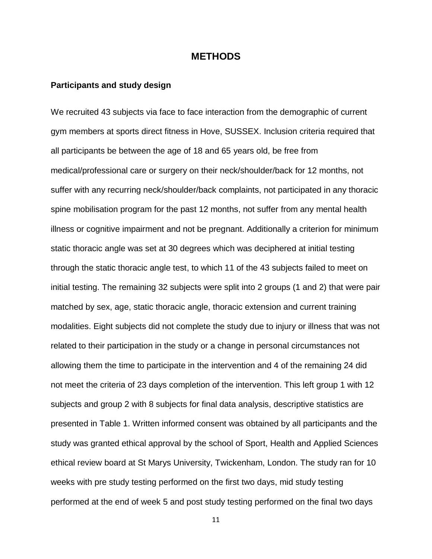## **METHODS**

### **Participants and study design**

We recruited 43 subjects via face to face interaction from the demographic of current gym members at sports direct fitness in Hove, SUSSEX. Inclusion criteria required that all participants be between the age of 18 and 65 years old, be free from medical/professional care or surgery on their neck/shoulder/back for 12 months, not suffer with any recurring neck/shoulder/back complaints, not participated in any thoracic spine mobilisation program for the past 12 months, not suffer from any mental health illness or cognitive impairment and not be pregnant. Additionally a criterion for minimum static thoracic angle was set at 30 degrees which was deciphered at initial testing through the static thoracic angle test, to which 11 of the 43 subjects failed to meet on initial testing. The remaining 32 subjects were split into 2 groups (1 and 2) that were pair matched by sex, age, static thoracic angle, thoracic extension and current training modalities. Eight subjects did not complete the study due to injury or illness that was not related to their participation in the study or a change in personal circumstances not allowing them the time to participate in the intervention and 4 of the remaining 24 did not meet the criteria of 23 days completion of the intervention. This left group 1 with 12 subjects and group 2 with 8 subjects for final data analysis, descriptive statistics are presented in Table 1. Written informed consent was obtained by all participants and the study was granted ethical approval by the school of Sport, Health and Applied Sciences ethical review board at St Marys University, Twickenham, London. The study ran for 10 weeks with pre study testing performed on the first two days, mid study testing performed at the end of week 5 and post study testing performed on the final two days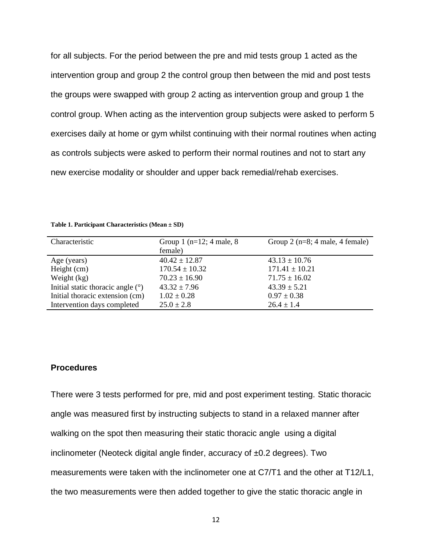for all subjects. For the period between the pre and mid tests group 1 acted as the intervention group and group 2 the control group then between the mid and post tests the groups were swapped with group 2 acting as intervention group and group 1 the control group. When acting as the intervention group subjects were asked to perform 5 exercises daily at home or gym whilst continuing with their normal routines when acting as controls subjects were asked to perform their normal routines and not to start any new exercise modality or shoulder and upper back remedial/rehab exercises.

| Characteristic                      | Group 1 ( $n=12$ ; 4 male, 8 | Group 2 ( $n=8$ ; 4 male, 4 female) |
|-------------------------------------|------------------------------|-------------------------------------|
|                                     | female)                      |                                     |
| Age (years)                         | $40.42 \pm 12.87$            | $43.13 \pm 10.76$                   |
| Height $(cm)$                       | $170.54 \pm 10.32$           | $171.41 \pm 10.21$                  |
| Weight (kg)                         | $70.23 \pm 16.90$            | $71.75 \pm 16.02$                   |
| Initial static thoracic angle $(°)$ | $43.32 \pm 7.96$             | $43.39 \pm 5.21$                    |
| Initial thoracic extension (cm)     | $1.02 \pm 0.28$              | $0.97 \pm 0.38$                     |
| Intervention days completed         | $25.0 \pm 2.8$               | $26.4 \pm 1.4$                      |
|                                     |                              |                                     |

**Table 1. Participant Characteristics (Mean ± SD)**

### **Procedures**

There were 3 tests performed for pre, mid and post experiment testing. Static thoracic angle was measured first by instructing subjects to stand in a relaxed manner after walking on the spot then measuring their static thoracic angle using a digital inclinometer (Neoteck digital angle finder, accuracy of ±0.2 degrees). Two measurements were taken with the inclinometer one at C7/T1 and the other at T12/L1, the two measurements were then added together to give the static thoracic angle in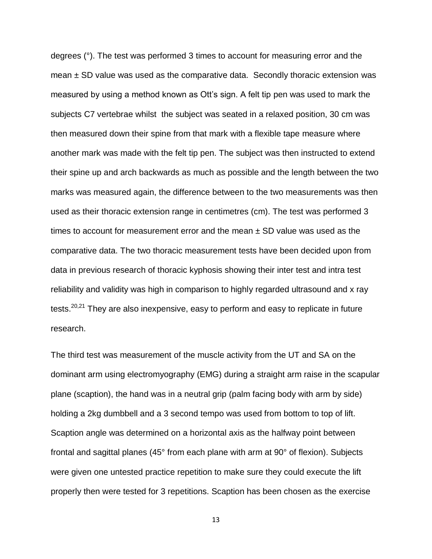degrees (°). The test was performed 3 times to account for measuring error and the mean  $\pm$  SD value was used as the comparative data. Secondly thoracic extension was measured by using a method known as Ott's sign. A felt tip pen was used to mark the subjects C7 vertebrae whilst the subject was seated in a relaxed position, 30 cm was then measured down their spine from that mark with a flexible tape measure where another mark was made with the felt tip pen. The subject was then instructed to extend their spine up and arch backwards as much as possible and the length between the two marks was measured again, the difference between to the two measurements was then used as their thoracic extension range in centimetres (cm). The test was performed 3 times to account for measurement error and the mean  $\pm$  SD value was used as the comparative data. The two thoracic measurement tests have been decided upon from data in previous research of thoracic kyphosis showing their inter test and intra test reliability and validity was high in comparison to highly regarded ultrasound and x ray tests.<sup>20,21</sup> They are also inexpensive, easy to perform and easy to replicate in future research.

The third test was measurement of the muscle activity from the UT and SA on the dominant arm using electromyography (EMG) during a straight arm raise in the scapular plane (scaption), the hand was in a neutral grip (palm facing body with arm by side) holding a 2kg dumbbell and a 3 second tempo was used from bottom to top of lift. Scaption angle was determined on a horizontal axis as the halfway point between frontal and sagittal planes (45° from each plane with arm at 90° of flexion). Subjects were given one untested practice repetition to make sure they could execute the lift properly then were tested for 3 repetitions. Scaption has been chosen as the exercise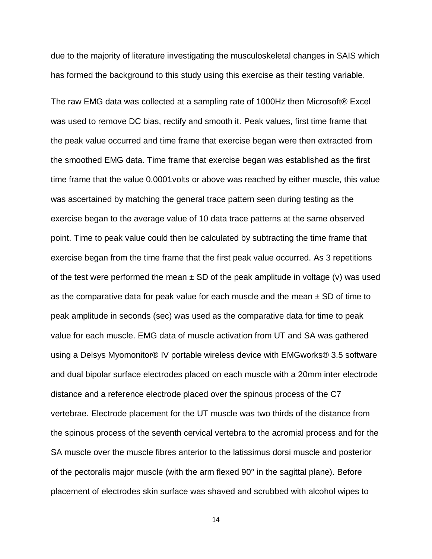due to the majority of literature investigating the musculoskeletal changes in SAIS which has formed the background to this study using this exercise as their testing variable.

The raw EMG data was collected at a sampling rate of 1000Hz then Microsoft® Excel was used to remove DC bias, rectify and smooth it. Peak values, first time frame that the peak value occurred and time frame that exercise began were then extracted from the smoothed EMG data. Time frame that exercise began was established as the first time frame that the value 0.0001volts or above was reached by either muscle, this value was ascertained by matching the general trace pattern seen during testing as the exercise began to the average value of 10 data trace patterns at the same observed point. Time to peak value could then be calculated by subtracting the time frame that exercise began from the time frame that the first peak value occurred. As 3 repetitions of the test were performed the mean  $\pm$  SD of the peak amplitude in voltage (v) was used as the comparative data for peak value for each muscle and the mean  $\pm$  SD of time to peak amplitude in seconds (sec) was used as the comparative data for time to peak value for each muscle. EMG data of muscle activation from UT and SA was gathered using a Delsys Myomonitor® IV portable wireless device with EMGworks® 3.5 software and dual bipolar surface electrodes placed on each muscle with a 20mm inter electrode distance and a reference electrode placed over the spinous process of the C7 vertebrae. Electrode placement for the UT muscle was two thirds of the distance from the spinous process of the seventh cervical vertebra to the acromial process and for the SA muscle over the muscle fibres anterior to the latissimus dorsi muscle and posterior of the pectoralis major muscle (with the arm flexed 90° in the sagittal plane). Before placement of electrodes skin surface was shaved and scrubbed with alcohol wipes to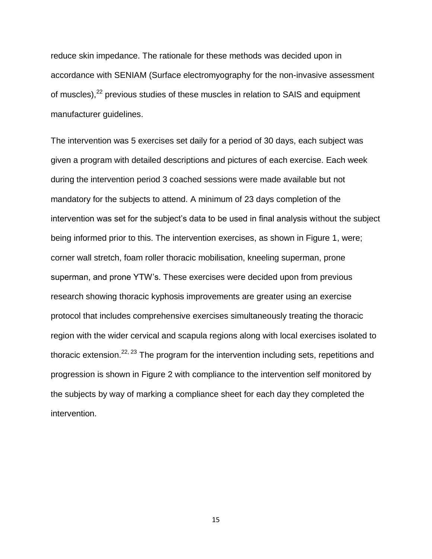reduce skin impedance. The rationale for these methods was decided upon in accordance with SENIAM (Surface electromyography for the non-invasive assessment of muscles),<sup>22</sup> previous studies of these muscles in relation to SAIS and equipment manufacturer guidelines.

The intervention was 5 exercises set daily for a period of 30 days, each subject was given a program with detailed descriptions and pictures of each exercise. Each week during the intervention period 3 coached sessions were made available but not mandatory for the subjects to attend. A minimum of 23 days completion of the intervention was set for the subject's data to be used in final analysis without the subject being informed prior to this. The intervention exercises, as shown in Figure 1, were; corner wall stretch, foam roller thoracic mobilisation, kneeling superman, prone superman, and prone YTW's. These exercises were decided upon from previous research showing thoracic kyphosis improvements are greater using an exercise protocol that includes comprehensive exercises simultaneously treating the thoracic region with the wider cervical and scapula regions along with local exercises isolated to thoracic extension.<sup>22, 23</sup> The program for the intervention including sets, repetitions and progression is shown in Figure 2 with compliance to the intervention self monitored by the subjects by way of marking a compliance sheet for each day they completed the intervention.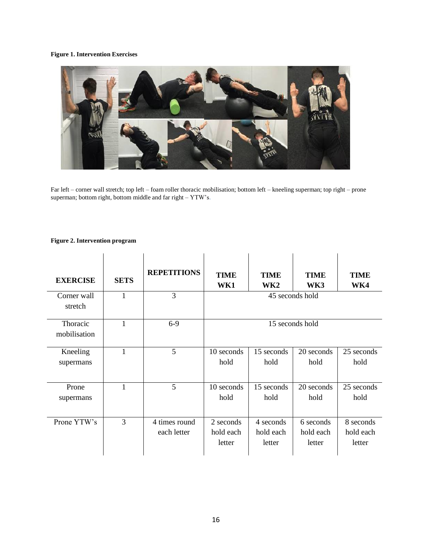#### **Figure 1. Intervention Exercises**



Far left – corner wall stretch; top left – foam roller thoracic mobilisation; bottom left – kneeling superman; top right – prone superman; bottom right, bottom middle and far right – YTW's.

#### **Figure 2. Intervention program**

| <b>EXERCISE</b>          | <b>SETS</b> | <b>REPETITIONS</b>           | <b>TIME</b><br>WK1               | <b>TIME</b><br>WK <sub>2</sub>   | <b>TIME</b><br>WK3               | <b>TIME</b><br>WK4               |
|--------------------------|-------------|------------------------------|----------------------------------|----------------------------------|----------------------------------|----------------------------------|
| Corner wall<br>stretch   | 1           | 3                            | 45 seconds hold                  |                                  |                                  |                                  |
| Thoracic<br>mobilisation | 1           | $6-9$                        | 15 seconds hold                  |                                  |                                  |                                  |
| Kneeling<br>supermans    | 1           | 5                            | 10 seconds<br>hold               | 15 seconds<br>hold               | 20 seconds<br>hold               | 25 seconds<br>hold               |
| Prone<br>supermans       | 1           | 5                            | 10 seconds<br>hold               | 15 seconds<br>hold               | 20 seconds<br>hold               | 25 seconds<br>hold               |
| Prone YTW's              | 3           | 4 times round<br>each letter | 2 seconds<br>hold each<br>letter | 4 seconds<br>hold each<br>letter | 6 seconds<br>hold each<br>letter | 8 seconds<br>hold each<br>letter |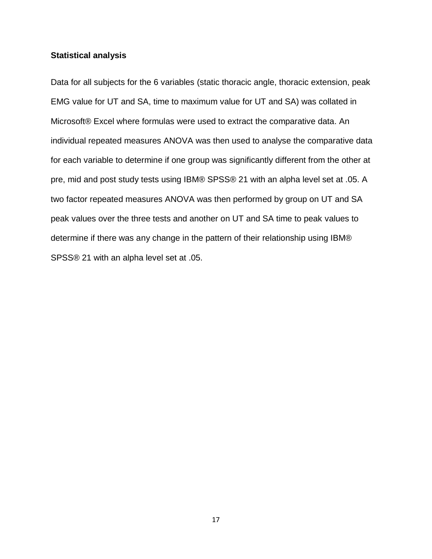### **Statistical analysis**

Data for all subjects for the 6 variables (static thoracic angle, thoracic extension, peak EMG value for UT and SA, time to maximum value for UT and SA) was collated in Microsoft® Excel where formulas were used to extract the comparative data. An individual repeated measures ANOVA was then used to analyse the comparative data for each variable to determine if one group was significantly different from the other at pre, mid and post study tests using IBM® SPSS® 21 with an alpha level set at .05. A two factor repeated measures ANOVA was then performed by group on UT and SA peak values over the three tests and another on UT and SA time to peak values to determine if there was any change in the pattern of their relationship using IBM® SPSS® 21 with an alpha level set at .05.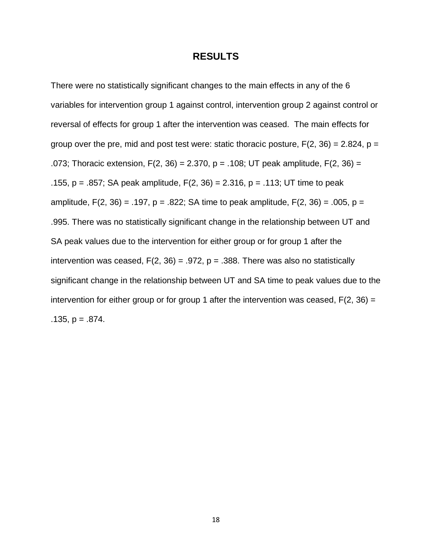### **RESULTS**

There were no statistically significant changes to the main effects in any of the 6 variables for intervention group 1 against control, intervention group 2 against control or reversal of effects for group 1 after the intervention was ceased. The main effects for group over the pre, mid and post test were: static thoracic posture,  $F(2, 36) = 2.824$ ,  $p =$ .073; Thoracic extension,  $F(2, 36) = 2.370$ ,  $p = .108$ ; UT peak amplitude,  $F(2, 36) =$ .155, p = .857; SA peak amplitude,  $F(2, 36) = 2.316$ , p = .113; UT time to peak amplitude,  $F(2, 36) = .197$ ,  $p = .822$ ; SA time to peak amplitude,  $F(2, 36) = .005$ ,  $p =$ .995. There was no statistically significant change in the relationship between UT and SA peak values due to the intervention for either group or for group 1 after the intervention was ceased,  $F(2, 36) = .972$ ,  $p = .388$ . There was also no statistically significant change in the relationship between UT and SA time to peak values due to the intervention for either group or for group 1 after the intervention was ceased,  $F(2, 36) =$  $.135, p = .874.$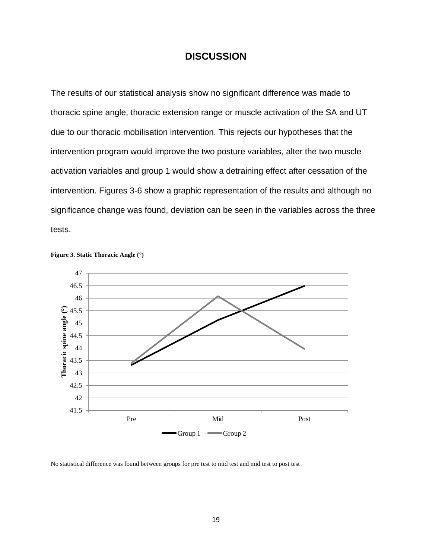# **DISCUSSION**

The results of our statistical analysis show no significant difference was made to thoracic spine angle, thoracic extension range or muscle activation of the SA and UT due to our thoracic mobilisation intervention. This rejects our hypotheses that the intervention program would improve the two posture variables, alter the two muscle activation variables and group 1 would show a detraining effect after cessation of the intervention. Figures 3-6 show a graphic representation of the results and although no significance change was found, deviation can be seen in the variables across the three tests.



**Figure 3. Static Thoracic Angle (°)**

No statistical difference was found between groups for pre test to mid test and mid test to post test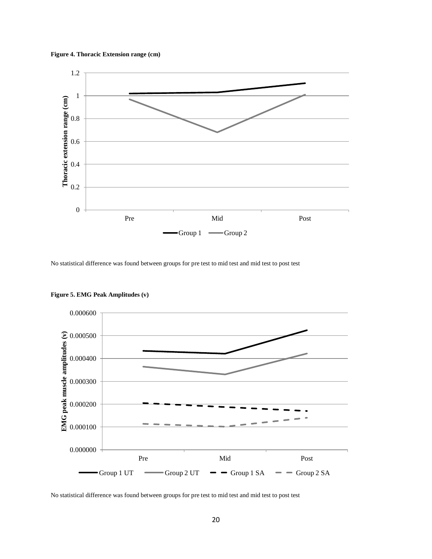**Figure 4. Thoracic Extension range (cm)**



No statistical difference was found between groups for pre test to mid test and mid test to post test



**Figure 5. EMG Peak Amplitudes (v)**

No statistical difference was found between groups for pre test to mid test and mid test to post test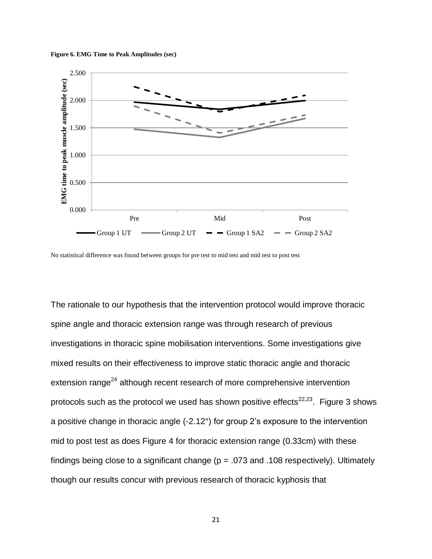



No statistical difference was found between groups for pre test to mid test and mid test to post test

The rationale to our hypothesis that the intervention protocol would improve thoracic spine angle and thoracic extension range was through research of previous investigations in thoracic spine mobilisation interventions. Some investigations give mixed results on their effectiveness to improve static thoracic angle and thoracic extension range<sup>24</sup> although recent research of more comprehensive intervention protocols such as the protocol we used has shown positive effects $^{22,23}$ . Figure 3 shows a positive change in thoracic angle (-2.12°) for group 2's exposure to the intervention mid to post test as does Figure 4 for thoracic extension range (0.33cm) with these findings being close to a significant change ( $p = .073$  and .108 respectively). Ultimately though our results concur with previous research of thoracic kyphosis that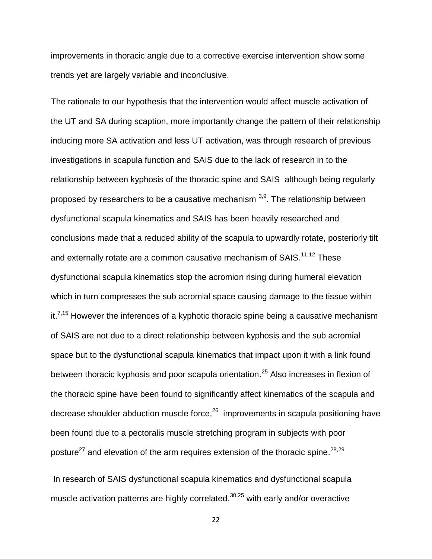improvements in thoracic angle due to a corrective exercise intervention show some trends yet are largely variable and inconclusive.

The rationale to our hypothesis that the intervention would affect muscle activation of the UT and SA during scaption, more importantly change the pattern of their relationship inducing more SA activation and less UT activation, was through research of previous investigations in scapula function and SAIS due to the lack of research in to the relationship between kyphosis of the thoracic spine and SAIS although being regularly proposed by researchers to be a causative mechanism  $3,9$ . The relationship between dysfunctional scapula kinematics and SAIS has been heavily researched and conclusions made that a reduced ability of the scapula to upwardly rotate, posteriorly tilt and externally rotate are a common causative mechanism of SAIS.<sup>11,12</sup> These dysfunctional scapula kinematics stop the acromion rising during humeral elevation which in turn compresses the sub acromial space causing damage to the tissue within it.<sup>7,15</sup> However the inferences of a kyphotic thoracic spine being a causative mechanism of SAIS are not due to a direct relationship between kyphosis and the sub acromial space but to the dysfunctional scapula kinematics that impact upon it with a link found between thoracic kyphosis and poor scapula orientation.<sup>25</sup> Also increases in flexion of the thoracic spine have been found to significantly affect kinematics of the scapula and decrease shoulder abduction muscle force,<sup>26</sup> improvements in scapula positioning have been found due to a pectoralis muscle stretching program in subjects with poor posture<sup>27</sup> and elevation of the arm requires extension of the thoracic spine.<sup>28,29</sup>

In research of SAIS dysfunctional scapula kinematics and dysfunctional scapula muscle activation patterns are highly correlated,<sup>30,25</sup> with early and/or overactive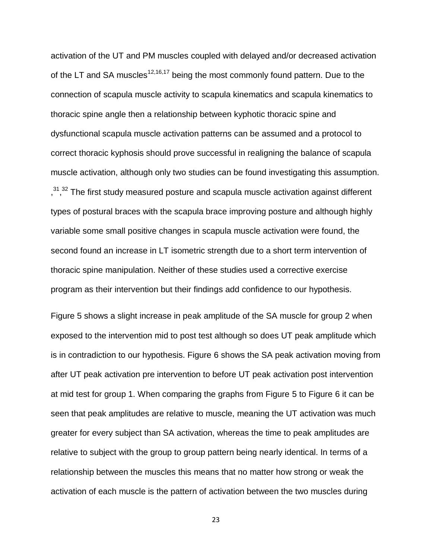activation of the UT and PM muscles coupled with delayed and/or decreased activation of the LT and SA muscles<sup>12,16,17</sup> being the most commonly found pattern. Due to the connection of scapula muscle activity to scapula kinematics and scapula kinematics to thoracic spine angle then a relationship between kyphotic thoracic spine and dysfunctional scapula muscle activation patterns can be assumed and a protocol to correct thoracic kyphosis should prove successful in realigning the balance of scapula muscle activation, although only two studies can be found investigating this assumption.  $, ^{31}, ^{32}$  The first study measured posture and scapula muscle activation against different types of postural braces with the scapula brace improving posture and although highly variable some small positive changes in scapula muscle activation were found, the second found an increase in LT isometric strength due to a short term intervention of thoracic spine manipulation. Neither of these studies used a corrective exercise program as their intervention but their findings add confidence to our hypothesis.

Figure 5 shows a slight increase in peak amplitude of the SA muscle for group 2 when exposed to the intervention mid to post test although so does UT peak amplitude which is in contradiction to our hypothesis. Figure 6 shows the SA peak activation moving from after UT peak activation pre intervention to before UT peak activation post intervention at mid test for group 1. When comparing the graphs from Figure 5 to Figure 6 it can be seen that peak amplitudes are relative to muscle, meaning the UT activation was much greater for every subject than SA activation, whereas the time to peak amplitudes are relative to subject with the group to group pattern being nearly identical. In terms of a relationship between the muscles this means that no matter how strong or weak the activation of each muscle is the pattern of activation between the two muscles during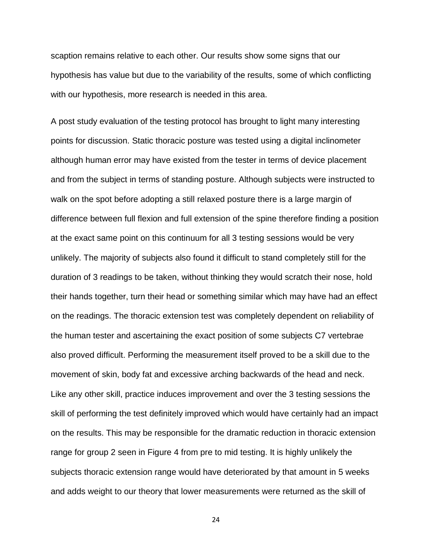scaption remains relative to each other. Our results show some signs that our hypothesis has value but due to the variability of the results, some of which conflicting with our hypothesis, more research is needed in this area.

A post study evaluation of the testing protocol has brought to light many interesting points for discussion. Static thoracic posture was tested using a digital inclinometer although human error may have existed from the tester in terms of device placement and from the subject in terms of standing posture. Although subjects were instructed to walk on the spot before adopting a still relaxed posture there is a large margin of difference between full flexion and full extension of the spine therefore finding a position at the exact same point on this continuum for all 3 testing sessions would be very unlikely. The majority of subjects also found it difficult to stand completely still for the duration of 3 readings to be taken, without thinking they would scratch their nose, hold their hands together, turn their head or something similar which may have had an effect on the readings. The thoracic extension test was completely dependent on reliability of the human tester and ascertaining the exact position of some subjects C7 vertebrae also proved difficult. Performing the measurement itself proved to be a skill due to the movement of skin, body fat and excessive arching backwards of the head and neck. Like any other skill, practice induces improvement and over the 3 testing sessions the skill of performing the test definitely improved which would have certainly had an impact on the results. This may be responsible for the dramatic reduction in thoracic extension range for group 2 seen in Figure 4 from pre to mid testing. It is highly unlikely the subjects thoracic extension range would have deteriorated by that amount in 5 weeks and adds weight to our theory that lower measurements were returned as the skill of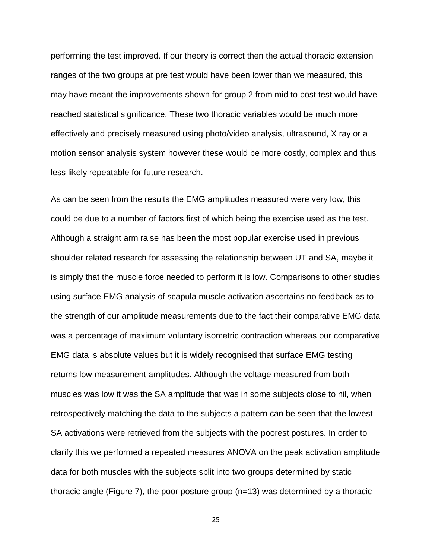performing the test improved. If our theory is correct then the actual thoracic extension ranges of the two groups at pre test would have been lower than we measured, this may have meant the improvements shown for group 2 from mid to post test would have reached statistical significance. These two thoracic variables would be much more effectively and precisely measured using photo/video analysis, ultrasound, X ray or a motion sensor analysis system however these would be more costly, complex and thus less likely repeatable for future research.

As can be seen from the results the EMG amplitudes measured were very low, this could be due to a number of factors first of which being the exercise used as the test. Although a straight arm raise has been the most popular exercise used in previous shoulder related research for assessing the relationship between UT and SA, maybe it is simply that the muscle force needed to perform it is low. Comparisons to other studies using surface EMG analysis of scapula muscle activation ascertains no feedback as to the strength of our amplitude measurements due to the fact their comparative EMG data was a percentage of maximum voluntary isometric contraction whereas our comparative EMG data is absolute values but it is widely recognised that surface EMG testing returns low measurement amplitudes. Although the voltage measured from both muscles was low it was the SA amplitude that was in some subjects close to nil, when retrospectively matching the data to the subjects a pattern can be seen that the lowest SA activations were retrieved from the subjects with the poorest postures. In order to clarify this we performed a repeated measures ANOVA on the peak activation amplitude data for both muscles with the subjects split into two groups determined by static thoracic angle (Figure 7), the poor posture group (n=13) was determined by a thoracic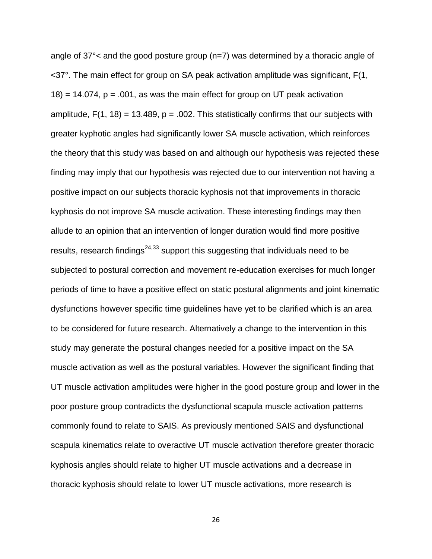angle of 37°< and the good posture group (n=7) was determined by a thoracic angle of <37°. The main effect for group on SA peak activation amplitude was significant, F(1,  $18$  = 14.074, p = .001, as was the main effect for group on UT peak activation amplitude,  $F(1, 18) = 13.489$ ,  $p = .002$ . This statistically confirms that our subjects with greater kyphotic angles had significantly lower SA muscle activation, which reinforces the theory that this study was based on and although our hypothesis was rejected these finding may imply that our hypothesis was rejected due to our intervention not having a positive impact on our subjects thoracic kyphosis not that improvements in thoracic kyphosis do not improve SA muscle activation. These interesting findings may then allude to an opinion that an intervention of longer duration would find more positive results, research findings<sup>24,33</sup> support this suggesting that individuals need to be subjected to postural correction and movement re-education exercises for much longer periods of time to have a positive effect on static postural alignments and joint kinematic dysfunctions however specific time guidelines have yet to be clarified which is an area to be considered for future research. Alternatively a change to the intervention in this study may generate the postural changes needed for a positive impact on the SA muscle activation as well as the postural variables. However the significant finding that UT muscle activation amplitudes were higher in the good posture group and lower in the poor posture group contradicts the dysfunctional scapula muscle activation patterns commonly found to relate to SAIS. As previously mentioned SAIS and dysfunctional scapula kinematics relate to overactive UT muscle activation therefore greater thoracic kyphosis angles should relate to higher UT muscle activations and a decrease in thoracic kyphosis should relate to lower UT muscle activations, more research is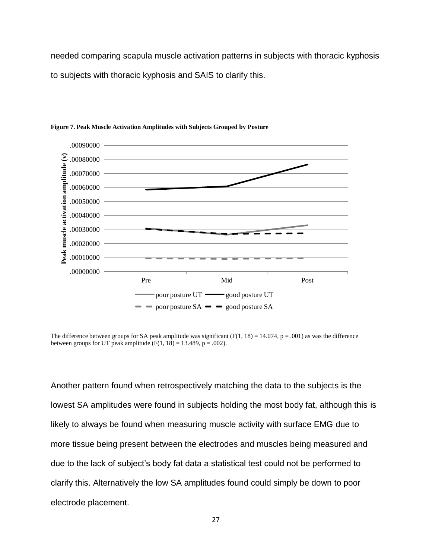needed comparing scapula muscle activation patterns in subjects with thoracic kyphosis to subjects with thoracic kyphosis and SAIS to clarify this.



**Figure 7. Peak Muscle Activation Amplitudes with Subjects Grouped by Posture**

The difference between groups for SA peak amplitude was significant  $(F(1, 18) = 14.074, p = .001)$  as was the difference between groups for UT peak amplitude  $(F(1, 18) = 13.489, p = .002)$ .

Another pattern found when retrospectively matching the data to the subjects is the lowest SA amplitudes were found in subjects holding the most body fat, although this is likely to always be found when measuring muscle activity with surface EMG due to more tissue being present between the electrodes and muscles being measured and due to the lack of subject's body fat data a statistical test could not be performed to clarify this. Alternatively the low SA amplitudes found could simply be down to poor electrode placement.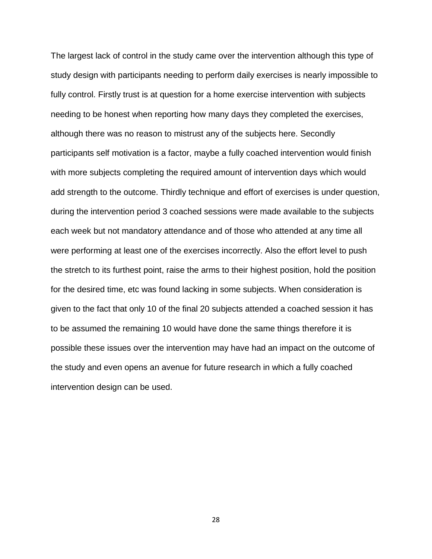The largest lack of control in the study came over the intervention although this type of study design with participants needing to perform daily exercises is nearly impossible to fully control. Firstly trust is at question for a home exercise intervention with subjects needing to be honest when reporting how many days they completed the exercises, although there was no reason to mistrust any of the subjects here. Secondly participants self motivation is a factor, maybe a fully coached intervention would finish with more subjects completing the required amount of intervention days which would add strength to the outcome. Thirdly technique and effort of exercises is under question, during the intervention period 3 coached sessions were made available to the subjects each week but not mandatory attendance and of those who attended at any time all were performing at least one of the exercises incorrectly. Also the effort level to push the stretch to its furthest point, raise the arms to their highest position, hold the position for the desired time, etc was found lacking in some subjects. When consideration is given to the fact that only 10 of the final 20 subjects attended a coached session it has to be assumed the remaining 10 would have done the same things therefore it is possible these issues over the intervention may have had an impact on the outcome of the study and even opens an avenue for future research in which a fully coached intervention design can be used.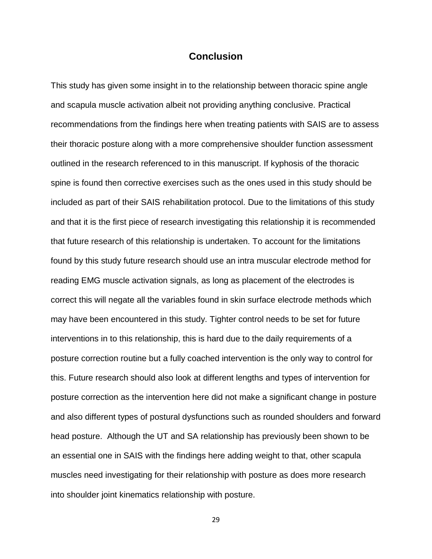# **Conclusion**

This study has given some insight in to the relationship between thoracic spine angle and scapula muscle activation albeit not providing anything conclusive. Practical recommendations from the findings here when treating patients with SAIS are to assess their thoracic posture along with a more comprehensive shoulder function assessment outlined in the research referenced to in this manuscript. If kyphosis of the thoracic spine is found then corrective exercises such as the ones used in this study should be included as part of their SAIS rehabilitation protocol. Due to the limitations of this study and that it is the first piece of research investigating this relationship it is recommended that future research of this relationship is undertaken. To account for the limitations found by this study future research should use an intra muscular electrode method for reading EMG muscle activation signals, as long as placement of the electrodes is correct this will negate all the variables found in skin surface electrode methods which may have been encountered in this study. Tighter control needs to be set for future interventions in to this relationship, this is hard due to the daily requirements of a posture correction routine but a fully coached intervention is the only way to control for this. Future research should also look at different lengths and types of intervention for posture correction as the intervention here did not make a significant change in posture and also different types of postural dysfunctions such as rounded shoulders and forward head posture. Although the UT and SA relationship has previously been shown to be an essential one in SAIS with the findings here adding weight to that, other scapula muscles need investigating for their relationship with posture as does more research into shoulder joint kinematics relationship with posture.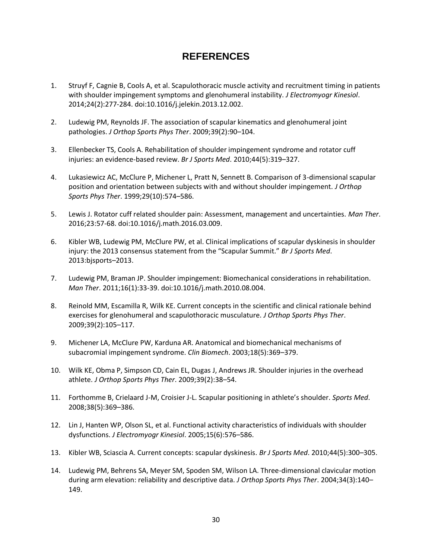# **REFERENCES**

- 1. Struyf F, Cagnie B, Cools A, et al. Scapulothoracic muscle activity and recruitment timing in patients with shoulder impingement symptoms and glenohumeral instability. *J Electromyogr Kinesiol*. 2014;24(2):277-284. doi:10.1016/j.jelekin.2013.12.002.
- 2. Ludewig PM, Reynolds JF. The association of scapular kinematics and glenohumeral joint pathologies. *J Orthop Sports Phys Ther*. 2009;39(2):90–104.
- 3. Ellenbecker TS, Cools A. Rehabilitation of shoulder impingement syndrome and rotator cuff injuries: an evidence-based review. *Br J Sports Med*. 2010;44(5):319–327.
- 4. Lukasiewicz AC, McClure P, Michener L, Pratt N, Sennett B. Comparison of 3-dimensional scapular position and orientation between subjects with and without shoulder impingement. *J Orthop Sports Phys Ther*. 1999;29(10):574–586.
- 5. Lewis J. Rotator cuff related shoulder pain: Assessment, management and uncertainties. *Man Ther*. 2016;23:57-68. doi:10.1016/j.math.2016.03.009.
- 6. Kibler WB, Ludewig PM, McClure PW, et al. Clinical implications of scapular dyskinesis in shoulder injury: the 2013 consensus statement from the "Scapular Summit." *Br J Sports Med*. 2013:bjsports–2013.
- 7. Ludewig PM, Braman JP. Shoulder impingement: Biomechanical considerations in rehabilitation. *Man Ther*. 2011;16(1):33-39. doi:10.1016/j.math.2010.08.004.
- 8. Reinold MM, Escamilla R, Wilk KE. Current concepts in the scientific and clinical rationale behind exercises for glenohumeral and scapulothoracic musculature. *J Orthop Sports Phys Ther*. 2009;39(2):105–117.
- 9. Michener LA, McClure PW, Karduna AR. Anatomical and biomechanical mechanisms of subacromial impingement syndrome. *Clin Biomech*. 2003;18(5):369–379.
- 10. Wilk KE, Obma P, Simpson CD, Cain EL, Dugas J, Andrews JR. Shoulder injuries in the overhead athlete. *J Orthop Sports Phys Ther*. 2009;39(2):38–54.
- 11. Forthomme B, Crielaard J-M, Croisier J-L. Scapular positioning in athlete's shoulder. *Sports Med*. 2008;38(5):369–386.
- 12. Lin J, Hanten WP, Olson SL, et al. Functional activity characteristics of individuals with shoulder dysfunctions. *J Electromyogr Kinesiol*. 2005;15(6):576–586.
- 13. Kibler WB, Sciascia A. Current concepts: scapular dyskinesis. *Br J Sports Med*. 2010;44(5):300–305.
- 14. Ludewig PM, Behrens SA, Meyer SM, Spoden SM, Wilson LA. Three-dimensional clavicular motion during arm elevation: reliability and descriptive data. *J Orthop Sports Phys Ther*. 2004;34(3):140– 149.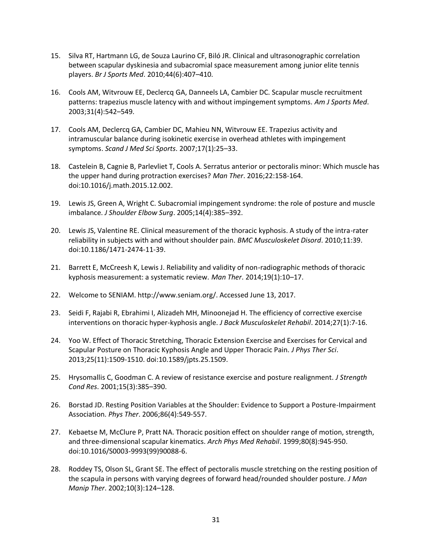- 15. Silva RT, Hartmann LG, de Souza Laurino CF, Biló JR. Clinical and ultrasonographic correlation between scapular dyskinesia and subacromial space measurement among junior elite tennis players. *Br J Sports Med*. 2010;44(6):407–410.
- 16. Cools AM, Witvrouw EE, Declercq GA, Danneels LA, Cambier DC. Scapular muscle recruitment patterns: trapezius muscle latency with and without impingement symptoms. *Am J Sports Med*. 2003;31(4):542–549.
- 17. Cools AM, Declercq GA, Cambier DC, Mahieu NN, Witvrouw EE. Trapezius activity and intramuscular balance during isokinetic exercise in overhead athletes with impingement symptoms. *Scand J Med Sci Sports*. 2007;17(1):25–33.
- 18. Castelein B, Cagnie B, Parlevliet T, Cools A. Serratus anterior or pectoralis minor: Which muscle has the upper hand during protraction exercises? *Man Ther*. 2016;22:158-164. doi:10.1016/j.math.2015.12.002.
- 19. Lewis JS, Green A, Wright C. Subacromial impingement syndrome: the role of posture and muscle imbalance. *J Shoulder Elbow Surg*. 2005;14(4):385–392.
- 20. Lewis JS, Valentine RE. Clinical measurement of the thoracic kyphosis. A study of the intra-rater reliability in subjects with and without shoulder pain. *BMC Musculoskelet Disord*. 2010;11:39. doi:10.1186/1471-2474-11-39.
- 21. Barrett E, McCreesh K, Lewis J. Reliability and validity of non-radiographic methods of thoracic kyphosis measurement: a systematic review. *Man Ther*. 2014;19(1):10–17.
- 22. Welcome to SENIAM. http://www.seniam.org/. Accessed June 13, 2017.
- 23. Seidi F, Rajabi R, Ebrahimi I, Alizadeh MH, Minoonejad H. The efficiency of corrective exercise interventions on thoracic hyper-kyphosis angle. *J Back Musculoskelet Rehabil*. 2014;27(1):7-16.
- 24. Yoo W. Effect of Thoracic Stretching, Thoracic Extension Exercise and Exercises for Cervical and Scapular Posture on Thoracic Kyphosis Angle and Upper Thoracic Pain. *J Phys Ther Sci*. 2013;25(11):1509-1510. doi:10.1589/jpts.25.1509.
- 25. Hrysomallis C, Goodman C. A review of resistance exercise and posture realignment. *J Strength Cond Res*. 2001;15(3):385–390.
- 26. Borstad JD. Resting Position Variables at the Shoulder: Evidence to Support a Posture-Impairment Association. *Phys Ther*. 2006;86(4):549-557.
- 27. Kebaetse M, McClure P, Pratt NA. Thoracic position effect on shoulder range of motion, strength, and three-dimensional scapular kinematics. *Arch Phys Med Rehabil*. 1999;80(8):945-950. doi:10.1016/S0003-9993(99)90088-6.
- 28. Roddey TS, Olson SL, Grant SE. The effect of pectoralis muscle stretching on the resting position of the scapula in persons with varying degrees of forward head/rounded shoulder posture. *J Man Manip Ther*. 2002;10(3):124–128.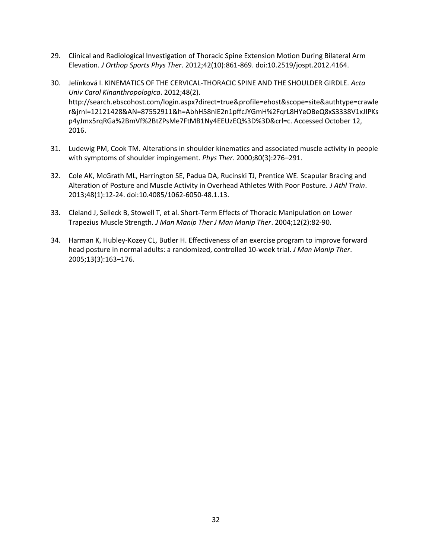- 29. Clinical and Radiological Investigation of Thoracic Spine Extension Motion During Bilateral Arm Elevation. *J Orthop Sports Phys Ther*. 2012;42(10):861-869. doi:10.2519/jospt.2012.4164.
- 30. Jelínková I. KINEMATICS OF THE CERVICAL-THORACIC SPINE AND THE SHOULDER GIRDLE. *Acta Univ Carol Kinanthropologica*. 2012;48(2). http://search.ebscohost.com/login.aspx?direct=true&profile=ehost&scope=site&authtype=crawle r&jrnl=12121428&AN=87552911&h=AbhH58niE2n1pffcJYGmH%2FqrL8HYeOBeQ8xS3338V1xJIPKs p4yJmx5rqRGa%2BmVf%2BtZPsMe7FtMB1Ny4EEUzEQ%3D%3D&crl=c. Accessed October 12, 2016.
- 31. Ludewig PM, Cook TM. Alterations in shoulder kinematics and associated muscle activity in people with symptoms of shoulder impingement. *Phys Ther*. 2000;80(3):276–291.
- 32. Cole AK, McGrath ML, Harrington SE, Padua DA, Rucinski TJ, Prentice WE. Scapular Bracing and Alteration of Posture and Muscle Activity in Overhead Athletes With Poor Posture. *J Athl Train*. 2013;48(1):12-24. doi:10.4085/1062-6050-48.1.13.
- 33. Cleland J, Selleck B, Stowell T, et al. Short-Term Effects of Thoracic Manipulation on Lower Trapezius Muscle Strength. *J Man Manip Ther J Man Manip Ther*. 2004;12(2):82-90.
- 34. Harman K, Hubley-Kozey CL, Butler H. Effectiveness of an exercise program to improve forward head posture in normal adults: a randomized, controlled 10-week trial. *J Man Manip Ther*. 2005;13(3):163–176.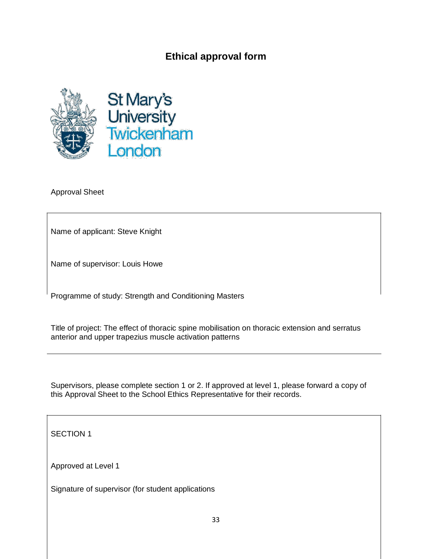# **Ethical approval form**





Approval Sheet

Name of applicant: Steve Knight

Name of supervisor: Louis Howe

Programme of study: Strength and Conditioning Masters

Title of project: The effect of thoracic spine mobilisation on thoracic extension and serratus anterior and upper trapezius muscle activation patterns

Supervisors, please complete section 1 or 2. If approved at level 1, please forward a copy of this Approval Sheet to the School Ethics Representative for their records.

SECTION 1

Approved at Level 1

Signature of supervisor (for student applications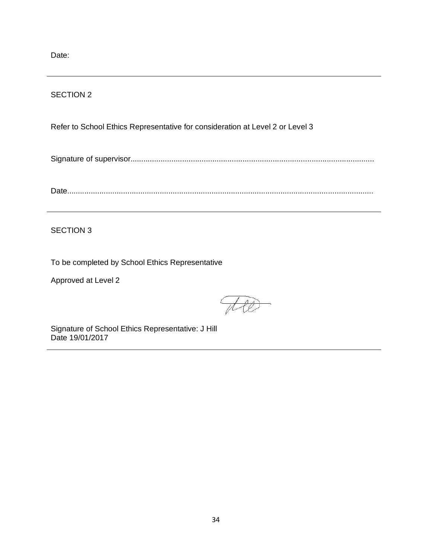Date:

### SECTION 2

Refer to School Ethics Representative for consideration at Level 2 or Level 3

Signature of supervisor.................................................................................................................

Date..............................................................................................................................................

SECTION 3

To be completed by School Ethics Representative

Approved at Level 2

Signature of School Ethics Representative: J Hill Date 19/01/2017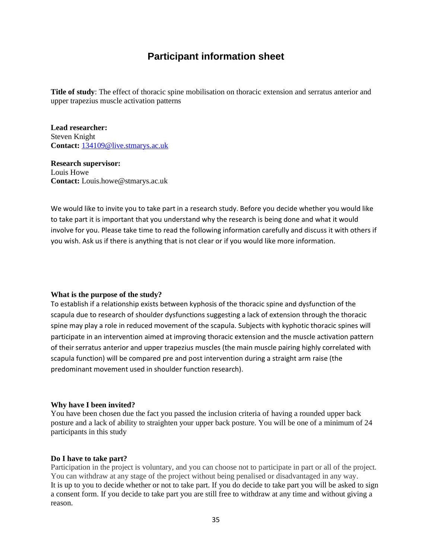# **Participant information sheet**

**Title of study**: The effect of thoracic spine mobilisation on thoracic extension and serratus anterior and upper trapezius muscle activation patterns

**Lead researcher:** Steven Knight **Contact:** [134109@live.stmarys.ac.uk](mailto:134109@live.stmarys.ac.uk)

**Research supervisor:** Louis Howe **Contact:** Louis.howe@stmarys.ac.uk

We would like to invite you to take part in a research study. Before you decide whether you would like to take part it is important that you understand why the research is being done and what it would involve for you. Please take time to read the following information carefully and discuss it with others if you wish. Ask us if there is anything that is not clear or if you would like more information.

#### **What is the purpose of the study?**

To establish if a relationship exists between kyphosis of the thoracic spine and dysfunction of the scapula due to research of shoulder dysfunctions suggesting a lack of extension through the thoracic spine may play a role in reduced movement of the scapula. Subjects with kyphotic thoracic spines will participate in an intervention aimed at improving thoracic extension and the muscle activation pattern of their serratus anterior and upper trapezius muscles (the main muscle pairing highly correlated with scapula function) will be compared pre and post intervention during a straight arm raise (the predominant movement used in shoulder function research).

#### **Why have I been invited?**

You have been chosen due the fact you passed the inclusion criteria of having a rounded upper back posture and a lack of ability to straighten your upper back posture. You will be one of a minimum of 24 participants in this study

#### **Do I have to take part?**

Participation in the project is voluntary, and you can choose not to participate in part or all of the project. You can withdraw at any stage of the project without being penalised or disadvantaged in any way*.* It is up to you to decide whether or not to take part. If you do decide to take part you will be asked to sign a consent form. If you decide to take part you are still free to withdraw at any time and without giving a reason.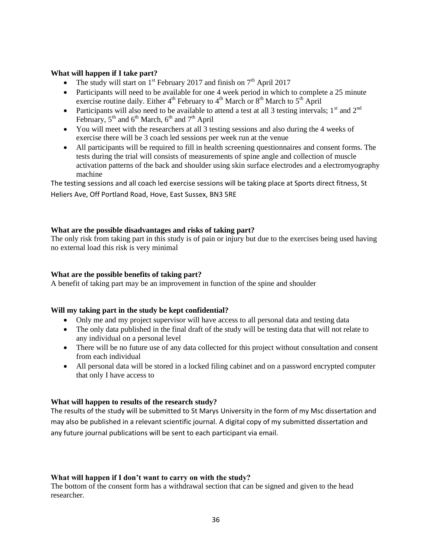#### **What will happen if I take part?**

- The study will start on  $1<sup>st</sup>$  February 2017 and finish on  $7<sup>th</sup>$  April 2017
- Participants will need to be available for one 4 week period in which to complete a 25 minute exercise routine daily. Either  $4<sup>th</sup>$  February to  $4<sup>th</sup>$  March or  $8<sup>th</sup>$  March to  $5<sup>th</sup>$  April
- Participants will also need to be available to attend a test at all 3 testing intervals;  $1<sup>st</sup>$  and  $2<sup>nd</sup>$ February,  $5<sup>th</sup>$  and  $6<sup>th</sup>$  March,  $6<sup>th</sup>$  and  $7<sup>th</sup>$  April
- You will meet with the researchers at all 3 testing sessions and also during the 4 weeks of exercise there will be 3 coach led sessions per week run at the venue
- All participants will be required to fill in health screening questionnaires and consent forms. The tests during the trial will consists of measurements of spine angle and collection of muscle activation patterns of the back and shoulder using skin surface electrodes and a electromyography machine

The testing sessions and all coach led exercise sessions will be taking place at Sports direct fitness, St Heliers Ave, Off Portland Road, Hove, East Sussex, BN3 5RE

### **What are the possible disadvantages and risks of taking part?**

The only risk from taking part in this study is of pain or injury but due to the exercises being used having no external load this risk is very minimal

#### **What are the possible benefits of taking part?**

A benefit of taking part may be an improvement in function of the spine and shoulder

#### **Will my taking part in the study be kept confidential?**

- Only me and my project supervisor will have access to all personal data and testing data
- The only data published in the final draft of the study will be testing data that will not relate to any individual on a personal level
- There will be no future use of any data collected for this project without consultation and consent from each individual
- All personal data will be stored in a locked filing cabinet and on a password encrypted computer that only I have access to

### **What will happen to results of the research study?**

The results of the study will be submitted to St Marys University in the form of my Msc dissertation and may also be published in a relevant scientific journal*.* A digital copy of my submitted dissertation and any future journal publications will be sent to each participant via email.

#### **What will happen if I don't want to carry on with the study?**

The bottom of the consent form has a withdrawal section that can be signed and given to the head researcher.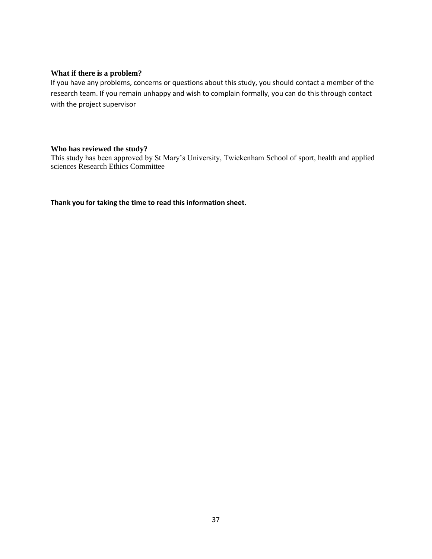#### **What if there is a problem?**

If you have any problems, concerns or questions about this study, you should contact a member of the research team. If you remain unhappy and wish to complain formally, you can do this through contact with the project supervisor

#### **Who has reviewed the study?**

This study has been approved by St Mary's University, Twickenham School of sport, health and applied sciences Research Ethics Committee

**Thank you for taking the time to read this information sheet.**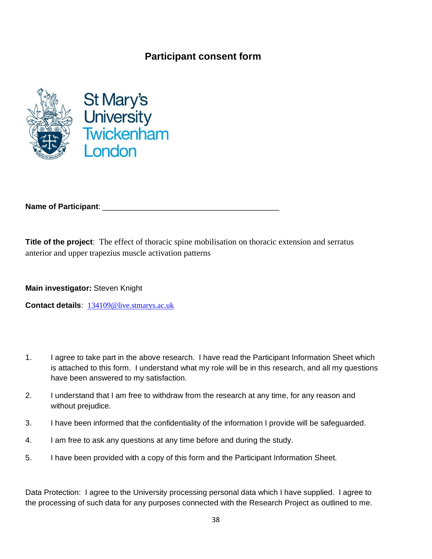# **Participant consent form**





**Name of Participant**: \_\_\_\_\_\_\_\_\_\_\_\_\_\_\_\_\_\_\_\_\_\_\_\_\_\_\_\_\_\_\_\_\_\_\_\_\_\_\_\_\_

**Title of the project**: The effect of thoracic spine mobilisation on thoracic extension and serratus anterior and upper trapezius muscle activation patterns

**Main investigator:** Steven Knight

**Contact details**: [134109@live.stmarys.ac.uk](mailto:134109@live.stmarys.ac.uk)

- 1. I agree to take part in the above research. I have read the Participant Information Sheet which is attached to this form. I understand what my role will be in this research, and all my questions have been answered to my satisfaction.
- 2. I understand that I am free to withdraw from the research at any time, for any reason and without prejudice.
- 3. I have been informed that the confidentiality of the information I provide will be safeguarded.
- 4. I am free to ask any questions at any time before and during the study.
- 5. I have been provided with a copy of this form and the Participant Information Sheet.

Data Protection: I agree to the University processing personal data which I have supplied. I agree to the processing of such data for any purposes connected with the Research Project as outlined to me.